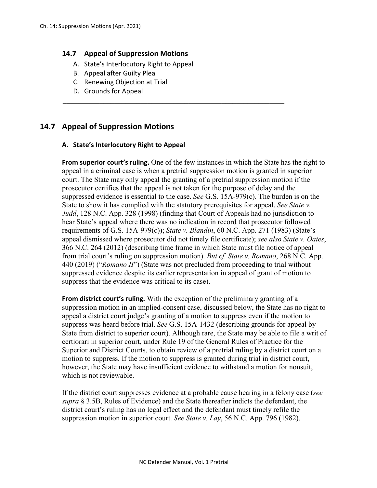### **14.7 Appeal of Suppression Motions**

- A. State's Interlocutory Right to Appeal
- B. Appeal after Guilty Plea
- C. Renewing Objection at Trial
- D. Grounds for Appeal

# **14.7 Appeal of Suppression Motions**

#### **A. State's Interlocutory Right to Appeal**

**From superior court's ruling.** One of the few instances in which the State has the right to appeal in a criminal case is when a pretrial suppression motion is granted in superior court. The State may only appeal the granting of a pretrial suppression motion if the prosecutor certifies that the appeal is not taken for the purpose of delay and the suppressed evidence is essential to the case. *See* G.S. 15A-979(c). The burden is on the State to show it has complied with the statutory prerequisites for appeal. *See State v. Judd*, 128 N.C. App. 328 (1998) (finding that Court of Appeals had no jurisdiction to hear State's appeal where there was no indication in record that prosecutor followed requirements of G.S. 15A-979(c)); *State v. Blandin*, 60 N.C. App. 271 (1983) (State's appeal dismissed where prosecutor did not timely file certificate); *see also State v. Oates*, 366 N.C. 264 (2012) (describing time frame in which State must file notice of appeal from trial court's ruling on suppression motion). *But cf. State v. Romano*, 268 N.C. App. 440 (2019) ("*Romano II*") (State was not precluded from proceeding to trial without suppressed evidence despite its earlier representation in appeal of grant of motion to suppress that the evidence was critical to its case).

 $\mathcal{L}_\mathcal{L} = \{ \mathcal{L}_\mathcal{L} = \{ \mathcal{L}_\mathcal{L} = \{ \mathcal{L}_\mathcal{L} = \{ \mathcal{L}_\mathcal{L} = \{ \mathcal{L}_\mathcal{L} = \{ \mathcal{L}_\mathcal{L} = \{ \mathcal{L}_\mathcal{L} = \{ \mathcal{L}_\mathcal{L} = \{ \mathcal{L}_\mathcal{L} = \{ \mathcal{L}_\mathcal{L} = \{ \mathcal{L}_\mathcal{L} = \{ \mathcal{L}_\mathcal{L} = \{ \mathcal{L}_\mathcal{L} = \{ \mathcal{L}_\mathcal{$ 

**From district court's ruling.** With the exception of the preliminary granting of a suppression motion in an implied-consent case, discussed below, the State has no right to appeal a district court judge's granting of a motion to suppress even if the motion to suppress was heard before trial. *See* G.S. 15A-1432 (describing grounds for appeal by State from district to superior court). Although rare, the State may be able to file a writ of certiorari in superior court, under Rule 19 of the General Rules of Practice for the Superior and District Courts, to obtain review of a pretrial ruling by a district court on a motion to suppress. If the motion to suppress is granted during trial in district court, however, the State may have insufficient evidence to withstand a motion for nonsuit, which is not reviewable.

If the district court suppresses evidence at a probable cause hearing in a felony case (*see supra* § 3.5B, Rules of Evidence) and the State thereafter indicts the defendant, the district court's ruling has no legal effect and the defendant must timely refile the suppression motion in superior court. *See State v. Lay*, 56 N.C. App. 796 (1982).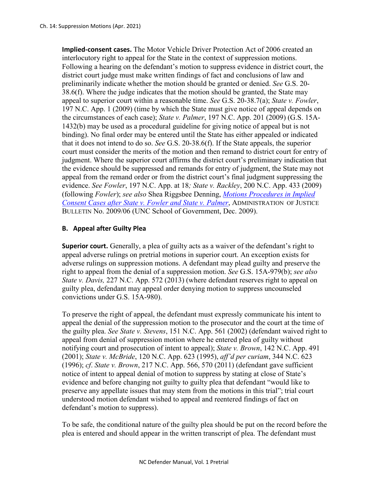**Implied-consent cases.** The Motor Vehicle Driver Protection Act of 2006 created an interlocutory right to appeal for the State in the context of suppression motions. Following a hearing on the defendant's motion to suppress evidence in district court, the district court judge must make written findings of fact and conclusions of law and preliminarily indicate whether the motion should be granted or denied. *See* G.S. 20- 38.6(f). Where the judge indicates that the motion should be granted, the State may appeal to superior court within a reasonable time. *See* G.S. 20-38.7(a); *State v. Fowler*, 197 N.C. App. 1 (2009) (time by which the State must give notice of appeal depends on the circumstances of each case); *State v. Palmer*, 197 N.C. App. 201 (2009) (G.S. 15A-1432(b) may be used as a procedural guideline for giving notice of appeal but is not binding). No final order may be entered until the State has either appealed or indicated that it does not intend to do so. *See* G.S. 20-38.6(f). If the State appeals, the superior court must consider the merits of the motion and then remand to district court for entry of judgment. Where the superior court affirms the district court's preliminary indication that the evidence should be suppressed and remands for entry of judgment, the State may not appeal from the remand order or from the district court's final judgment suppressing the evidence. *See Fowler*, 197 N.C. App. at 18*; State v. Rackley*, 200 N.C. App. 433 (2009) (following *Fowler*); *see also* Shea Riggsbee Denning, *[Motions Procedures in Implied](https://www.sog.unc.edu/sites/www.sog.unc.edu/files/reports/aojb0906.pdf)  [Consent Cases after State v. Fowler](https://www.sog.unc.edu/sites/www.sog.unc.edu/files/reports/aojb0906.pdf) and State v. Palmer*, ADMINISTRATION OF JUSTICE BULLETIN No. 2009/06 (UNC School of Government, Dec. 2009).

## **B. Appeal after Guilty Plea**

**Superior court.** Generally, a plea of guilty acts as a waiver of the defendant's right to appeal adverse rulings on pretrial motions in superior court. An exception exists for adverse rulings on suppression motions. A defendant may plead guilty and preserve the right to appeal from the denial of a suppression motion. *See* G.S. 15A-979(b); *see also State v. Davis,* 227 N.C. App. 572 (2013) (where defendant reserves right to appeal on guilty plea, defendant may appeal order denying motion to suppress uncounseled convictions under G.S. 15A-980).

To preserve the right of appeal, the defendant must expressly communicate his intent to appeal the denial of the suppression motion to the prosecutor and the court at the time of the guilty plea. *See State v. Stevens*, 151 N.C. App. 561 (2002) (defendant waived right to appeal from denial of suppression motion where he entered plea of guilty without notifying court and prosecution of intent to appeal); *State v. Brown*, 142 N.C. App. 491 (2001); *State v. McBride*, 120 N.C. App. 623 (1995), *aff'd per curiam*, 344 N.C. 623 (1996); *cf*. *State v. Brown*, 217 N.C. App. 566, 570 (2011) (defendant gave sufficient notice of intent to appeal denial of motion to suppress by stating at close of State's evidence and before changing not guilty to guilty plea that defendant "would like to preserve any appellate issues that may stem from the motions in this trial"; trial court understood motion defendant wished to appeal and reentered findings of fact on defendant's motion to suppress).

To be safe, the conditional nature of the guilty plea should be put on the record before the plea is entered and should appear in the written transcript of plea. The defendant must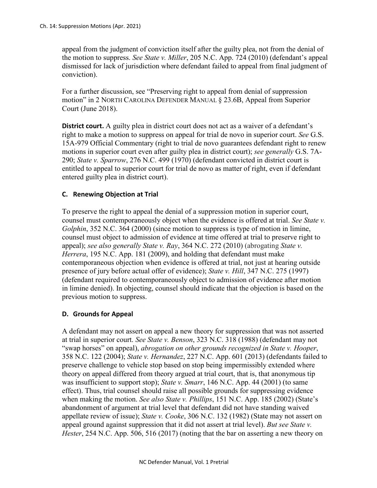appeal from the judgment of conviction itself after the guilty plea, not from the denial of the motion to suppress. *See State v. Miller*, 205 N.C. App. 724 (2010) (defendant's appeal dismissed for lack of jurisdiction where defendant failed to appeal from final judgment of conviction).

For a further discussion, see "Preserving right to appeal from denial of suppression motion" in 2 NORTH CAROLINA DEFENDER MANUAL § 23.6B, Appeal from Superior Court (June 2018).

**District court.** A guilty plea in district court does not act as a waiver of a defendant's right to make a motion to suppress on appeal for trial de novo in superior court. *See* G.S. 15A-979 Official Commentary (right to trial de novo guarantees defendant right to renew motions in superior court even after guilty plea in district court); *see generally* G.S. 7A-290; *State v. Sparrow*, 276 N.C. 499 (1970) (defendant convicted in district court is entitled to appeal to superior court for trial de novo as matter of right, even if defendant entered guilty plea in district court).

# **C. Renewing Objection at Trial**

To preserve the right to appeal the denial of a suppression motion in superior court, counsel must contemporaneously object when the evidence is offered at trial. *See State v. Golphin*, 352 N.C. 364 (2000) (since motion to suppress is type of motion in limine, counsel must object to admission of evidence at time offered at trial to preserve right to appeal); *see also generally State v. Ray*, 364 N.C. 272 (2010) (abrogating *State v. Herrera*, 195 N.C. App. 181 (2009), and holding that defendant must make contemporaneous objection when evidence is offered at trial, not just at hearing outside presence of jury before actual offer of evidence); *State v. Hill*, 347 N.C. 275 (1997) (defendant required to contemporaneously object to admission of evidence after motion in limine denied). In objecting, counsel should indicate that the objection is based on the previous motion to suppress.

### **D. Grounds for Appeal**

A defendant may not assert on appeal a new theory for suppression that was not asserted at trial in superior court. *See State v. Benson*, 323 N.C. 318 (1988) (defendant may not "swap horses" on appeal), *abrogation on other grounds recognized in State v. Hooper*, 358 N.C. 122 (2004); *State v. Hernandez*, 227 N.C. App. 601 (2013) (defendants failed to preserve challenge to vehicle stop based on stop being impermissibly extended where theory on appeal differed from theory argued at trial court, that is, that anonymous tip was insufficient to support stop); *State v. Smarr*, 146 N.C. App. 44 (2001) (to same effect). Thus, trial counsel should raise all possible grounds for suppressing evidence when making the motion. *See also State v. Phillips*, 151 N.C. App. 185 (2002) (State's abandonment of argument at trial level that defendant did not have standing waived appellate review of issue); *State v. Cooke*, 306 N.C. 132 (1982) (State may not assert on appeal ground against suppression that it did not assert at trial level). *But see State v. Hester*, 254 N.C. App. 506, 516 (2017) (noting that the bar on asserting a new theory on